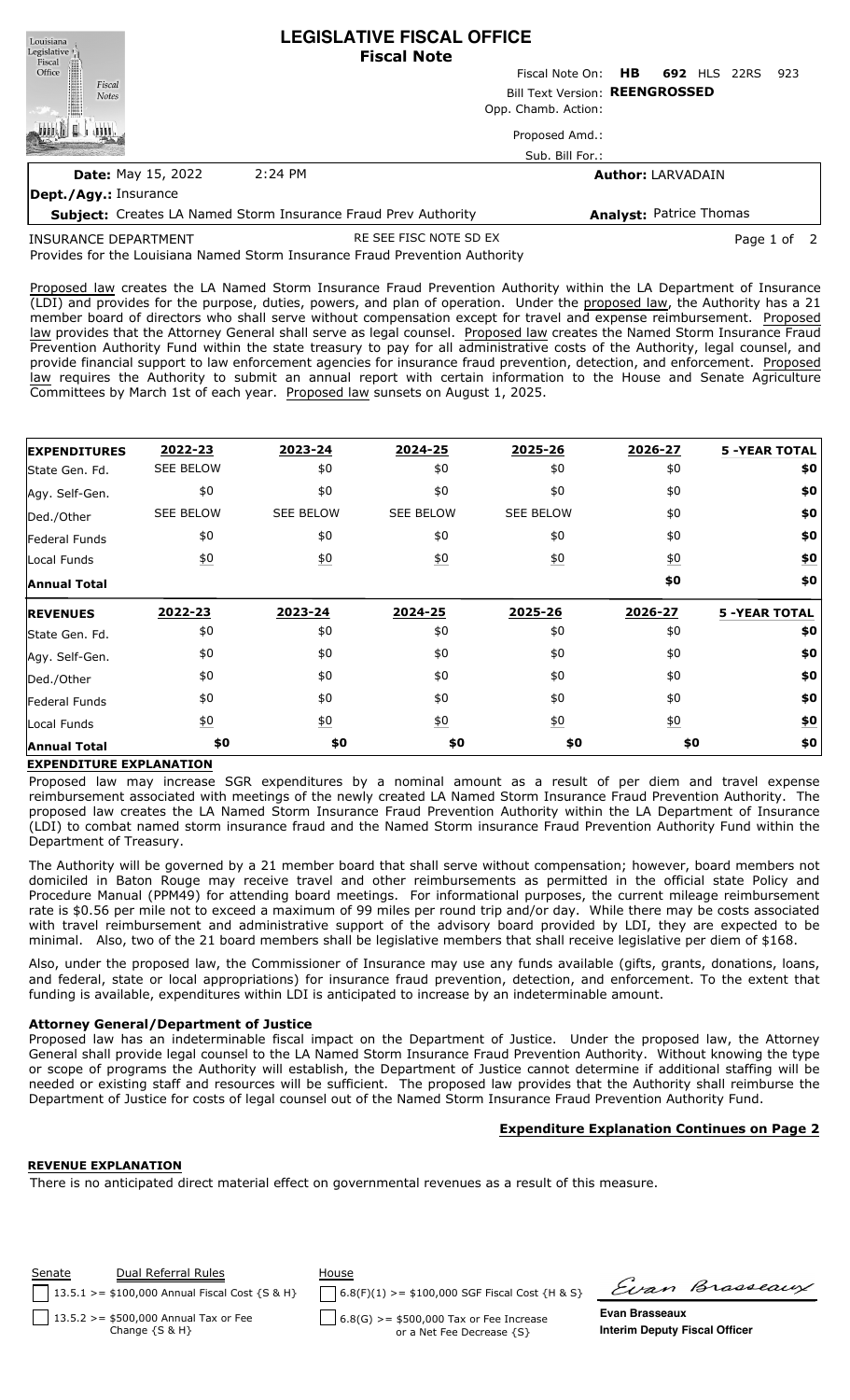| Louisiana<br>Legislative <sup>1</sup> | <b>LEGISLATIVE FISCAL OFFICE</b><br><b>Fiscal Note</b>                |                                 |                                |  |      |
|---------------------------------------|-----------------------------------------------------------------------|---------------------------------|--------------------------------|--|------|
| Fiscal<br>Office                      |                                                                       | Fiscal Note On: HB 692 HLS 22RS |                                |  | -923 |
| Fiscal<br><b>Notes</b>                |                                                                       | Bill Text Version: REENGROSSED  |                                |  |      |
|                                       |                                                                       | Opp. Chamb. Action:             |                                |  |      |
|                                       |                                                                       | Proposed Amd.:                  |                                |  |      |
|                                       |                                                                       | Sub. Bill For.:                 |                                |  |      |
| <b>Date: May 15, 2022</b>             | $2:24$ PM                                                             |                                 | <b>Author: LARVADAIN</b>       |  |      |
| Dept./Agy.: Insurance                 |                                                                       |                                 |                                |  |      |
|                                       | <b>Subject:</b> Creates LA Named Storm Insurance Fraud Prev Authority |                                 | <b>Analyst: Patrice Thomas</b> |  |      |
|                                       |                                                                       |                                 |                                |  |      |

INSURANCE DEPARTMENT

RE SEE FISC NOTE SD EX Page 1 of 2

Provides for the Louisiana Named Storm Insurance Fraud Prevention Authority

Proposed law creates the LA Named Storm Insurance Fraud Prevention Authority within the LA Department of Insurance (LDI) and provides for the purpose, duties, powers, and plan of operation. Under the proposed law, the Authority has a 21 member board of directors who shall serve without compensation except for travel and expense reimbursement. Proposed law provides that the Attorney General shall serve as legal counsel. Proposed law creates the Named Storm Insurance Fraud Prevention Authority Fund within the state treasury to pay for all administrative costs of the Authority, legal counsel, and provide financial support to law enforcement agencies for insurance fraud prevention, detection, and enforcement. Proposed law requires the Authority to submit an annual report with certain information to the House and Senate Agriculture Committees by March 1st of each year. Proposed law sunsets on August 1, 2025.

| <b>EXPENDITURES</b>  | 2022-23          | 2023-24          | 2024-25          | 2025-26          | 2026-27          | <b>5 -YEAR TOTAL</b> |
|----------------------|------------------|------------------|------------------|------------------|------------------|----------------------|
| State Gen. Fd.       | <b>SEE BELOW</b> | \$0              | \$0              | \$0              | \$0              | \$0                  |
| Agy. Self-Gen.       | \$0              | \$0              | \$0              | \$0              | \$0              | \$0                  |
| Ded./Other           | <b>SEE BELOW</b> | <b>SEE BELOW</b> | <b>SEE BELOW</b> | <b>SEE BELOW</b> | \$0              | \$0                  |
| <b>Federal Funds</b> | \$0              | \$0              | \$0              | \$0              | \$0              | \$0                  |
| Local Funds          | $\underline{50}$ | $\underline{40}$ | $\underline{50}$ | $\underline{50}$ | $\underline{50}$ | \$0                  |
| <b>Annual Total</b>  |                  |                  |                  |                  | \$0              | \$0                  |
| <b>REVENUES</b>      | 2022-23          | 2023-24          | 2024-25          | 2025-26          | 2026-27          | <b>5 -YEAR TOTAL</b> |
| State Gen. Fd.       | \$0              | \$0              | \$0              | \$0              | \$0              | \$0                  |
| Agy. Self-Gen.       | \$0              | \$0              | \$0              | \$0              | \$0              | \$0                  |
| Ded./Other           | \$0              | \$0              | \$0              | \$0              | \$0              | \$0                  |
| Federal Funds        | \$0              | \$0              | \$0              | \$0              | \$0              | \$0                  |
| Local Funds          |                  |                  |                  |                  | $\underline{60}$ | <u>\$0</u>           |
|                      | $\underline{50}$ | $\underline{50}$ | $\underline{50}$ | 60               |                  |                      |

## **EXPENDITURE EXPLANATION**

Proposed law may increase SGR expenditures by a nominal amount as a result of per diem and travel expense reimbursement associated with meetings of the newly created LA Named Storm Insurance Fraud Prevention Authority. The proposed law creates the LA Named Storm Insurance Fraud Prevention Authority within the LA Department of Insurance (LDI) to combat named storm insurance fraud and the Named Storm insurance Fraud Prevention Authority Fund within the Department of Treasury.

The Authority will be governed by a 21 member board that shall serve without compensation; however, board members not domiciled in Baton Rouge may receive travel and other reimbursements as permitted in the official state Policy and Procedure Manual (PPM49) for attending board meetings. For informational purposes, the current mileage reimbursement rate is \$0.56 per mile not to exceed a maximum of 99 miles per round trip and/or day. While there may be costs associated with travel reimbursement and administrative support of the advisory board provided by LDI, they are expected to be minimal. Also, two of the 21 board members shall be legislative members that shall receive legislative per diem of \$168.

Also, under the proposed law, the Commissioner of Insurance may use any funds available (gifts, grants, donations, loans, and federal, state or local appropriations) for insurance fraud prevention, detection, and enforcement. To the extent that funding is available, expenditures within LDI is anticipated to increase by an indeterminable amount.

## **Attorney General/Department of Justice**

Proposed law has an indeterminable fiscal impact on the Department of Justice. Under the proposed law, the Attorney General shall provide legal counsel to the LA Named Storm Insurance Fraud Prevention Authority. Without knowing the type or scope of programs the Authority will establish, the Department of Justice cannot determine if additional staffing will be needed or existing staff and resources will be sufficient. The proposed law provides that the Authority shall reimburse the Department of Justice for costs of legal counsel out of the Named Storm Insurance Fraud Prevention Authority Fund.

# **Expenditure Explanation Continues on Page 2**

# **REVENUE EXPLANATION**

There is no anticipated direct material effect on governmental revenues as a result of this measure.

| Dual Referral Rules<br>Senate<br>13.5.1 >= \$100,000 Annual Fiscal Cost {S & H} | House<br>$6.8(F)(1)$ >= \$100,000 SGF Fiscal Cost {H & S} | Evan Brasseaux                       |
|---------------------------------------------------------------------------------|-----------------------------------------------------------|--------------------------------------|
| $13.5.2 > = $500,000$ Annual Tax or Fee                                         | $6.8(G)$ >= \$500,000 Tax or Fee Increase                 | Evan Brasseaux                       |
| Change $\{S \& H\}$                                                             | or a Net Fee Decrease {S}                                 | <b>Interim Deputy Fiscal Officer</b> |